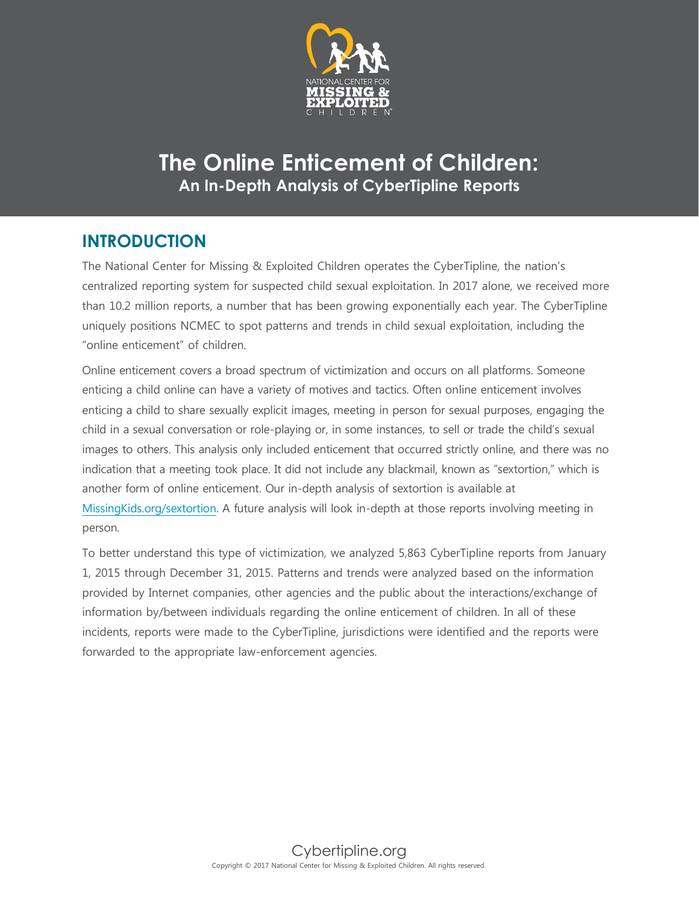

# **The Online Enticement of Children: An In-Depth Analysis of CyberTipline Reports**

## **INTRODUCTION**

The National Center for Missing & Exploited Children operates the CyberTipline, the nation's centralized reporting system for suspected child sexual exploitation. In 2017 alone, we received more than 10.2 million reports, a number that has been growing exponentially each year. The CyberTipline uniquely positions NCMEC to spot patterns and trends in child sexual exploitation, including the "online enticement" of children.

Online enticement covers a broad spectrum of victimization and occurs on all platforms. Someone enticing a child online can have a variety of motives and tactics. Often online enticement involves enticing a child to share sexually explicit images, meeting in person for sexual purposes, engaging the child in a sexual conversation or role-playing or, in some instances, to sell or trade the child's sexual images to others. This analysis only included enticement that occurred strictly online, and there was no indication that a meeting took place. It did not include any blackmail, known as "sextortion," which is another form of online enticement. Our in-depth analysis of sextortion is available at MissingKids.org/sextortion. A future analysis will look in-depth at those reports involving meeting in person.

To better understand this type of victimization, we analyzed 5,863 CyberTipline reports from January 1, 2015 through December 31, 2015. Patterns and trends were analyzed based on the information provided by Internet companies, other agencies and the public about the interactions/exchange of information by/between individuals regarding the online enticement of children. In all of these incidents, reports were made to the CyberTipline, jurisdictions were identified and the reports were forwarded to the appropriate law-enforcement agencies.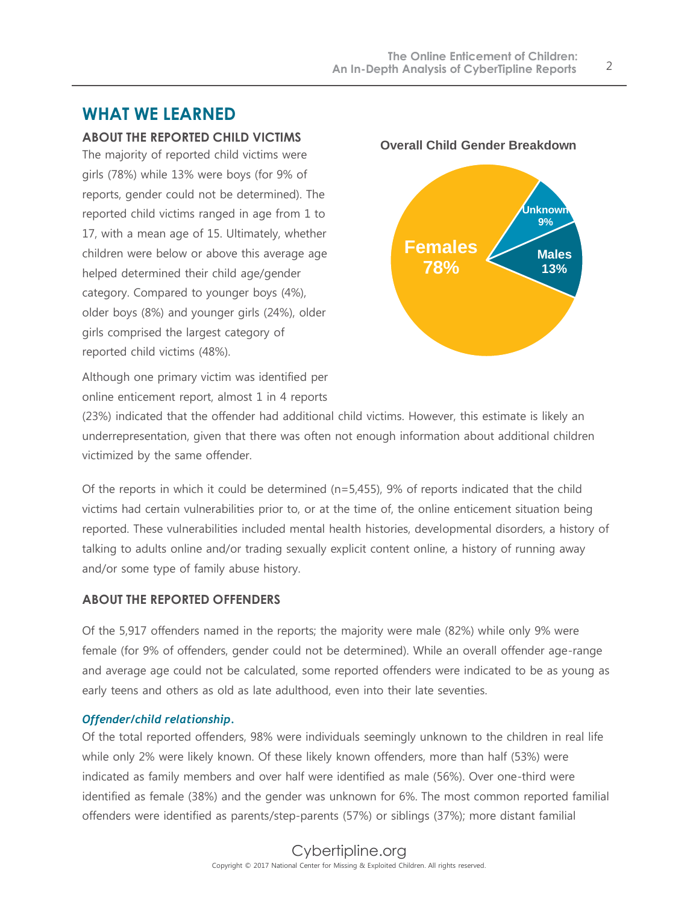## **WHAT WE LEARNED**

## **ABOUT THE REPORTED CHILD VICTIMS**

The majority of reported child victims were girls (78%) while 13% were boys (for 9% of reports, gender could not be determined). The reported child victims ranged in age from 1 to 17, with a mean age of 15. Ultimately, whether children were below or above this average age helped determined their child age/gender category. Compared to younger boys (4%), older boys (8%) and younger girls (24%), older girls comprised the largest category of reported child victims (48%).



Although one primary victim was identified per online enticement report, almost 1 in 4 reports

(23%) indicated that the offender had additional child victims. However, this estimate is likely an underrepresentation, given that there was often not enough information about additional children victimized by the same offender.

Of the reports in which it could be determined (n=5,455), 9% of reports indicated that the child victims had certain vulnerabilities prior to, or at the time of, the online enticement situation being reported. These vulnerabilities included mental health histories, developmental disorders, a history of talking to adults online and/or trading sexually explicit content online, a history of running away and/or some type of family abuse history.

## **ABOUT THE REPORTED OFFENDERS**

Of the 5,917 offenders named in the reports; the majority were male (82%) while only 9% were female (for 9% of offenders, gender could not be determined). While an overall offender age-range and average age could not be calculated, some reported offenders were indicated to be as young as early teens and others as old as late adulthood, even into their late seventies.

## *Offender/child relationship.*

Of the total reported offenders, 98% were individuals seemingly unknown to the children in real life while only 2% were likely known. Of these likely known offenders, more than half (53%) were indicated as family members and over half were identified as male (56%). Over one-third were identified as female (38%) and the gender was unknown for 6%. The most common reported familial offenders were identified as parents/step-parents (57%) or siblings (37%); more distant familial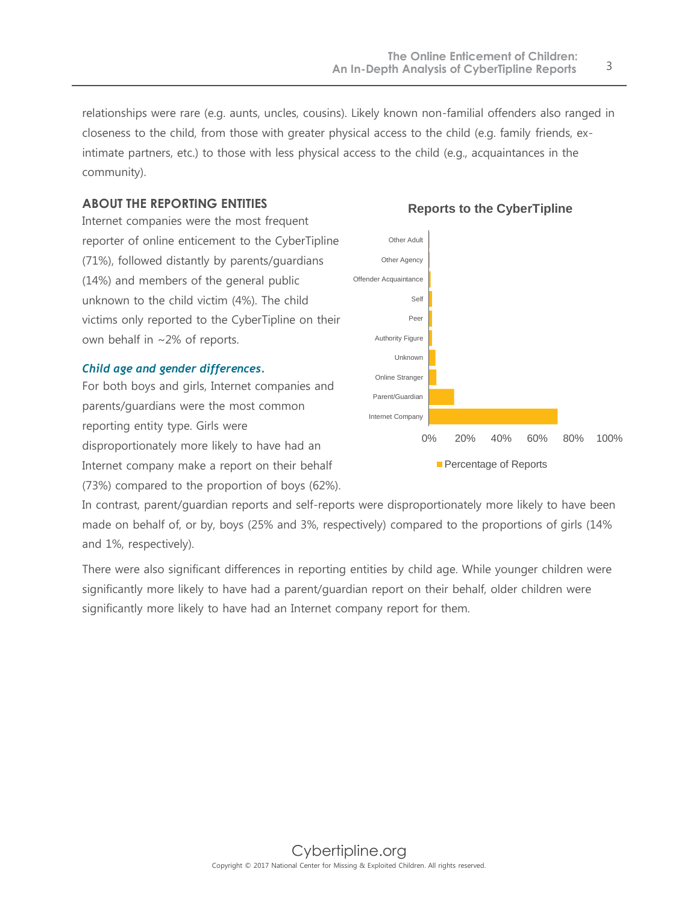relationships were rare (e.g. aunts, uncles, cousins). Likely known non-familial offenders also ranged in closeness to the child, from those with greater physical access to the child (e.g. family friends, exintimate partners, etc.) to those with less physical access to the child (e.g., acquaintances in the community).

## **ABOUT THE REPORTING ENTITIES**

Internet companies were the most frequent reporter of online enticement to the CyberTipline (71%), followed distantly by parents/guardians (14%) and members of the general public unknown to the child victim (4%). The child victims only reported to the CyberTipline on their own behalf in ~2% of reports.

#### *Child age and gender differences.*

For both boys and girls, Internet companies and parents/guardians were the most common reporting entity type. Girls were disproportionately more likely to have had an Internet company make a report on their behalf (73%) compared to the proportion of boys (62%).



#### **Reports to the CyberTipline**

In contrast, parent/guardian reports and self-reports were disproportionately more likely to have been made on behalf of, or by, boys (25% and 3%, respectively) compared to the proportions of girls (14% and 1%, respectively).

There were also significant differences in reporting entities by child age. While younger children were significantly more likely to have had a parent/guardian report on their behalf, older children were significantly more likely to have had an Internet company report for them.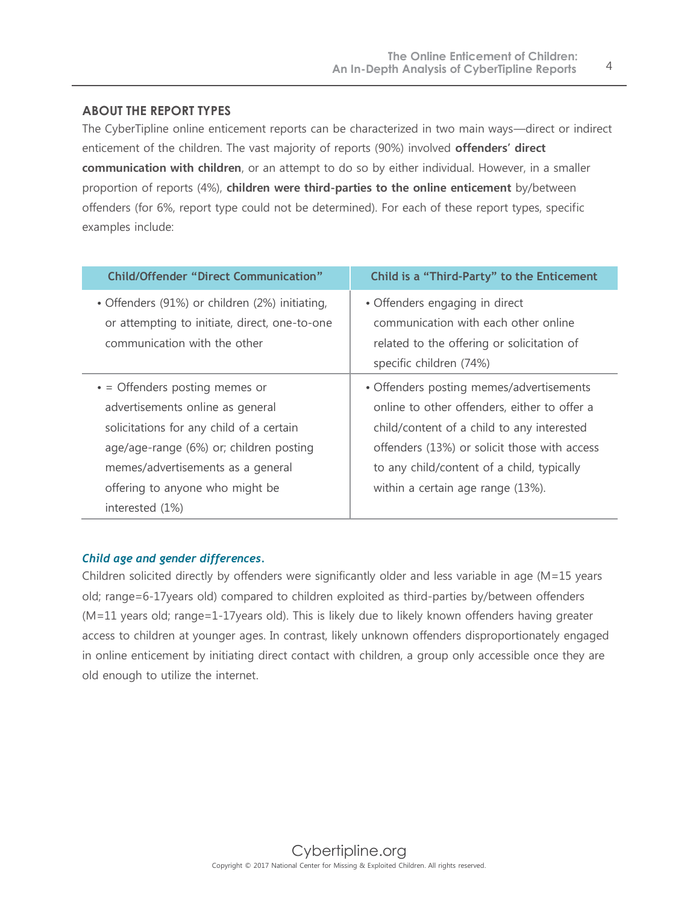#### **ABOUT THE REPORT TYPES**

The CyberTipline online enticement reports can be characterized in two main ways—direct or indirect enticement of the children. The vast majority of reports (90%) involved **offenders' direct communication with children**, or an attempt to do so by either individual. However, in a smaller proportion of reports (4%), **children were third-parties to the online enticement** by/between offenders (for 6%, report type could not be determined). For each of these report types, specific examples include:

| <b>Child/Offender "Direct Communication"</b>   | Child is a "Third-Party" to the Enticement   |
|------------------------------------------------|----------------------------------------------|
| • Offenders (91%) or children (2%) initiating, | • Offenders engaging in direct               |
| or attempting to initiate, direct, one-to-one  | communication with each other online         |
| communication with the other                   | related to the offering or solicitation of   |
|                                                | specific children (74%)                      |
| $\bullet$ = Offenders posting memes or         | • Offenders posting memes/advertisements     |
| advertisements online as general               | online to other offenders, either to offer a |
| solicitations for any child of a certain       | child/content of a child to any interested   |
| age/age-range (6%) or; children posting        | offenders (13%) or solicit those with access |
| memes/advertisements as a general              | to any child/content of a child, typically   |
| offering to anyone who might be                | within a certain age range (13%).            |
| interested $(1%)$                              |                                              |

#### *Child age and gender differences.*

Children solicited directly by offenders were significantly older and less variable in age (M=15 years old; range=6-17years old) compared to children exploited as third-parties by/between offenders (M=11 years old; range=1-17years old). This is likely due to likely known offenders having greater access to children at younger ages. In contrast, likely unknown offenders disproportionately engaged in online enticement by initiating direct contact with children, a group only accessible once they are old enough to utilize the internet.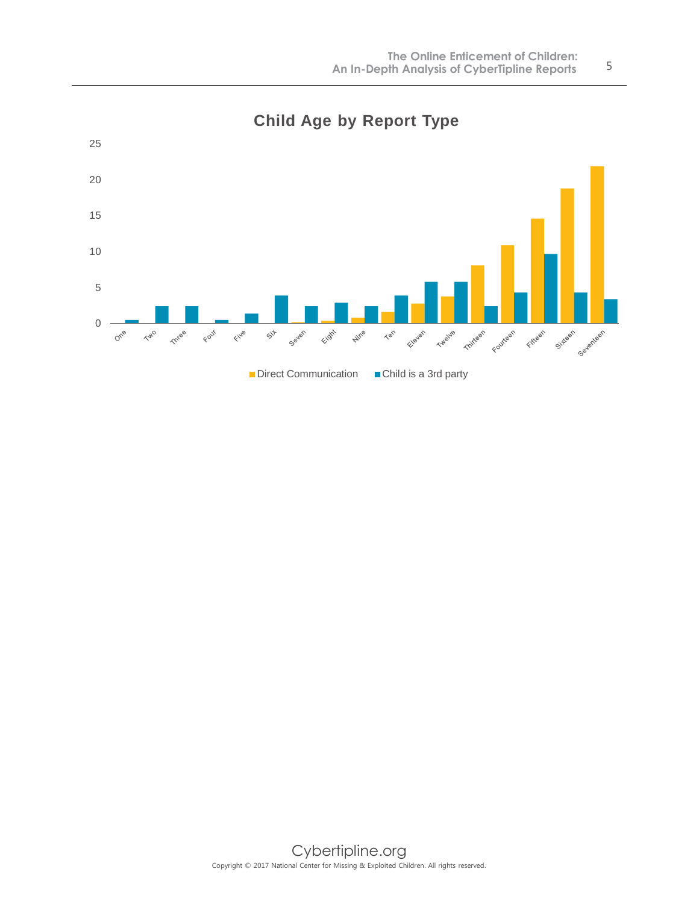

**Child Age by Report Type**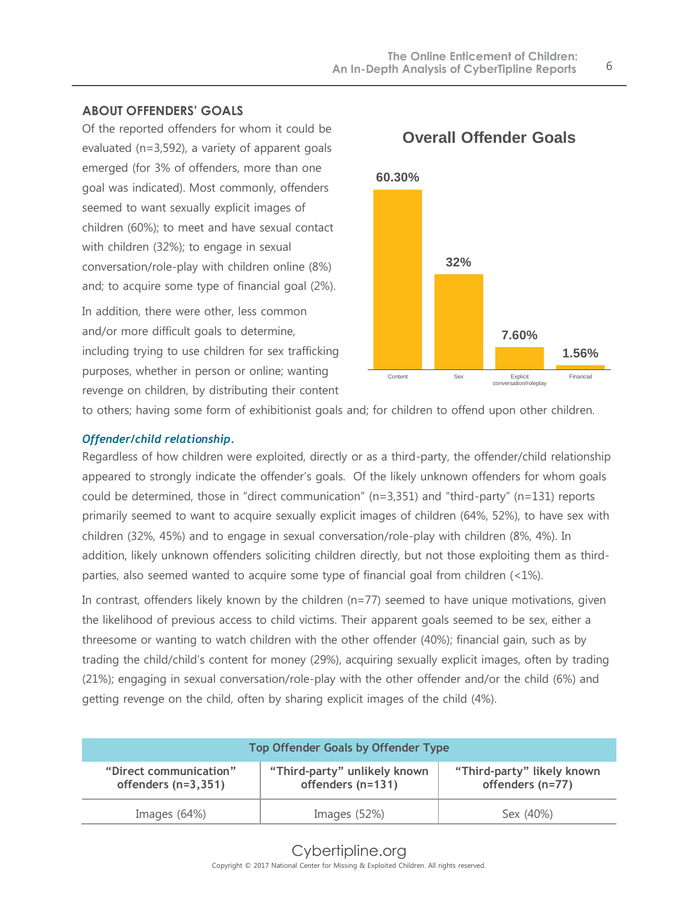## **ABOUT OFFENDERS' GOALS**

Of the reported offenders for whom it could be evaluated (n=3,592), a variety of apparent goals emerged (for 3% of offenders, more than one goal was indicated). Most commonly, offenders seemed to want sexually explicit images of children (60%); to meet and have sexual contact with children (32%); to engage in sexual conversation/role-play with children online (8%) and; to acquire some type of financial goal (2%).

In addition, there were other, less common and/or more difficult goals to determine, including trying to use children for sex trafficking purposes, whether in person or online; wanting revenge on children, by distributing their content



**Overall Offender Goals**

to others; having some form of exhibitionist goals and; for children to offend upon other children.

#### *Offender/child relationship.*

Regardless of how children were exploited, directly or as a third-party, the offender/child relationship appeared to strongly indicate the offender's goals. Of the likely unknown offenders for whom goals could be determined, those in "direct communication" (n=3,351) and "third-party" (n=131) reports primarily seemed to want to acquire sexually explicit images of children (64%, 52%), to have sex with children (32%, 45%) and to engage in sexual conversation/role-play with children (8%, 4%). In addition, likely unknown offenders soliciting children directly, but not those exploiting them as thirdparties, also seemed wanted to acquire some type of financial goal from children (<1%).

In contrast, offenders likely known by the children (n=77) seemed to have unique motivations, given the likelihood of previous access to child victims. Their apparent goals seemed to be sex, either a threesome or wanting to watch children with the other offender (40%); financial gain, such as by trading the child/child's content for money (29%), acquiring sexually explicit images, often by trading (21%); engaging in sexual conversation/role-play with the other offender and/or the child (6%) and getting revenge on the child, often by sharing explicit images of the child (4%).

| <b>Top Offender Goals by Offender Type</b>      |                                                   |                                                |
|-------------------------------------------------|---------------------------------------------------|------------------------------------------------|
| "Direct communication"<br>offenders $(n=3,351)$ | "Third-party" unlikely known<br>offenders (n=131) | "Third-party" likely known<br>offenders (n=77) |
| Images $(64%)$                                  | Images $(52%)$                                    | Sex (40%)                                      |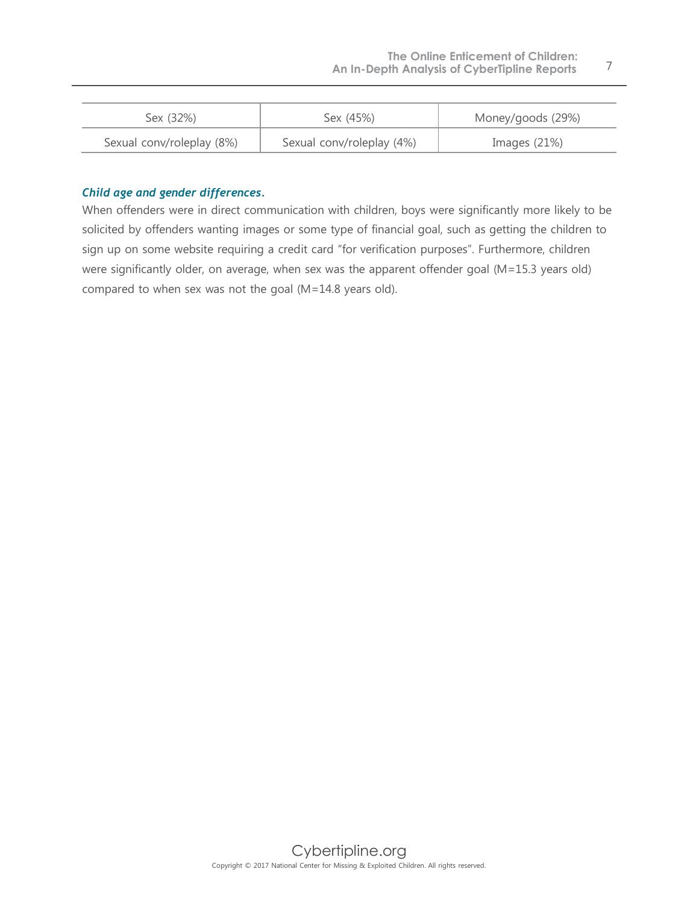| Sex (32%)                 | Sex (45%)                 | Money/goods (29%) |
|---------------------------|---------------------------|-------------------|
| Sexual conv/roleplay (8%) | Sexual conv/roleplay (4%) | Images $(21%)$    |

#### *Child age and gender differences.*

When offenders were in direct communication with children, boys were significantly more likely to be solicited by offenders wanting images or some type of financial goal, such as getting the children to sign up on some website requiring a credit card "for verification purposes". Furthermore, children were significantly older, on average, when sex was the apparent offender goal (M=15.3 years old) compared to when sex was not the goal (M=14.8 years old).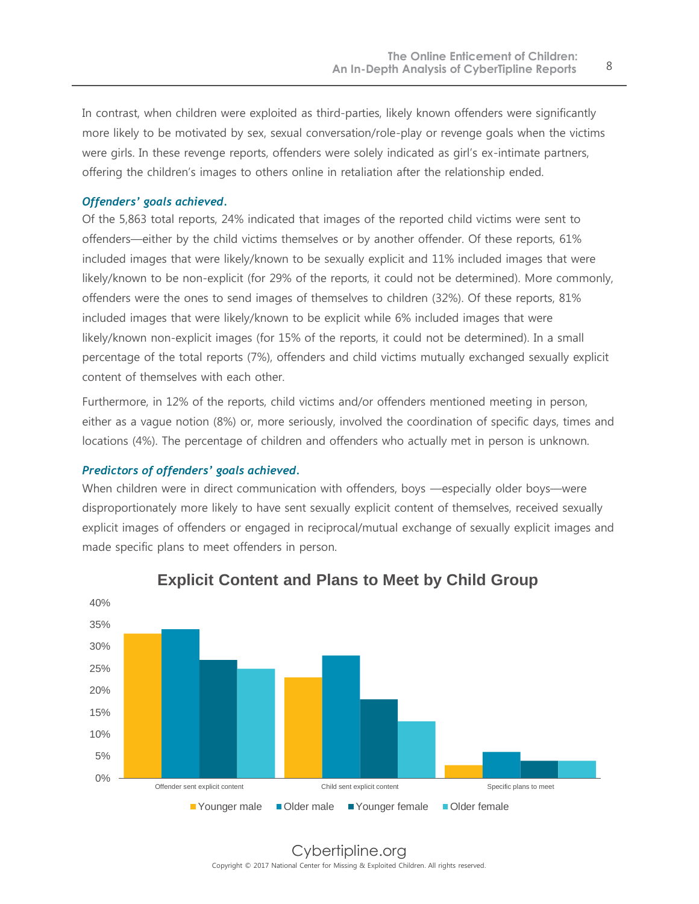In contrast, when children were exploited as third-parties, likely known offenders were significantly more likely to be motivated by sex, sexual conversation/role-play or revenge goals when the victims were girls. In these revenge reports, offenders were solely indicated as girl's ex-intimate partners, offering the children's images to others online in retaliation after the relationship ended.

#### *Offenders' goals achieved.*

Of the 5,863 total reports, 24% indicated that images of the reported child victims were sent to offenders—either by the child victims themselves or by another offender. Of these reports, 61% included images that were likely/known to be sexually explicit and 11% included images that were likely/known to be non-explicit (for 29% of the reports, it could not be determined). More commonly, offenders were the ones to send images of themselves to children (32%). Of these reports, 81% included images that were likely/known to be explicit while 6% included images that were likely/known non-explicit images (for 15% of the reports, it could not be determined). In a small percentage of the total reports (7%), offenders and child victims mutually exchanged sexually explicit content of themselves with each other.

Furthermore, in 12% of the reports, child victims and/or offenders mentioned meeting in person, either as a vague notion (8%) or, more seriously, involved the coordination of specific days, times and locations (4%). The percentage of children and offenders who actually met in person is unknown.

#### *Predictors of offenders' goals achieved.*

When children were in direct communication with offenders, boys —especially older boys—were disproportionately more likely to have sent sexually explicit content of themselves, received sexually explicit images of offenders or engaged in reciprocal/mutual exchange of sexually explicit images and made specific plans to meet offenders in person.



## **Explicit Content and Plans to Meet by Child Group**

Cybertipline.org Copyright © 2017 National Center for Missing & Exploited Children. All rights reserved.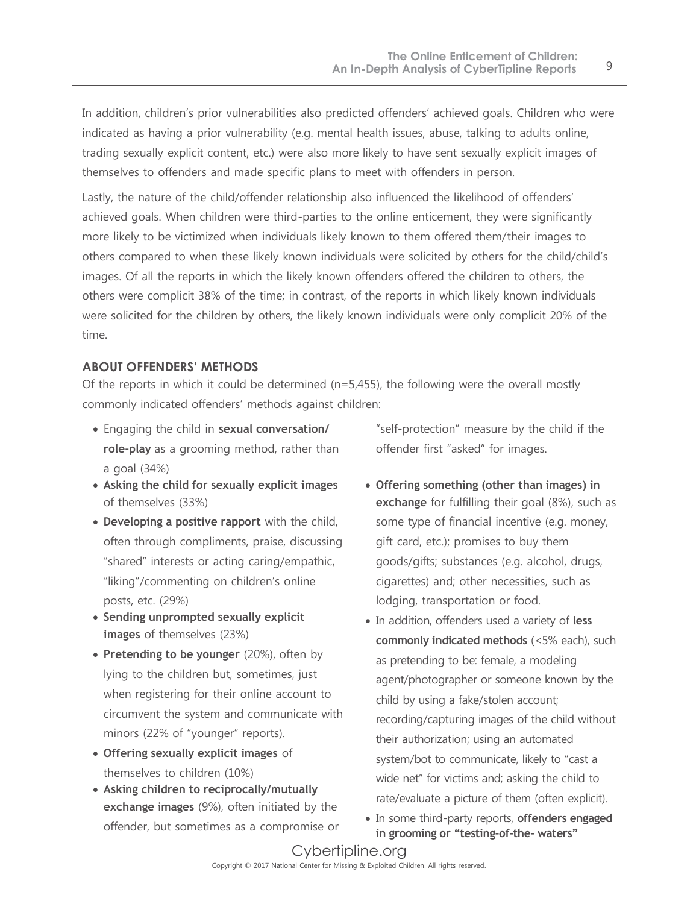In addition, children's prior vulnerabilities also predicted offenders' achieved goals. Children who were indicated as having a prior vulnerability (e.g. mental health issues, abuse, talking to adults online, trading sexually explicit content, etc.) were also more likely to have sent sexually explicit images of themselves to offenders and made specific plans to meet with offenders in person.

Lastly, the nature of the child/offender relationship also influenced the likelihood of offenders' achieved goals. When children were third-parties to the online enticement, they were significantly more likely to be victimized when individuals likely known to them offered them/their images to others compared to when these likely known individuals were solicited by others for the child/child's images. Of all the reports in which the likely known offenders offered the children to others, the others were complicit 38% of the time; in contrast, of the reports in which likely known individuals were solicited for the children by others, the likely known individuals were only complicit 20% of the time.

## **ABOUT OFFENDERS' METHODS**

Of the reports in which it could be determined  $(n=5,455)$ , the following were the overall mostly commonly indicated offenders' methods against children:

- Engaging the child in **sexual conversation/ role-play** as a grooming method, rather than a goal (34%)
- **Asking the child for sexually explicit images** of themselves (33%)
- **Developing a positive rapport** with the child, often through compliments, praise, discussing "shared" interests or acting caring/empathic, "liking"/commenting on children's online posts, etc. (29%)
- **Sending unprompted sexually explicit images** of themselves (23%)
- **Pretending to be younger** (20%), often by lying to the children but, sometimes, just when registering for their online account to circumvent the system and communicate with minors (22% of "younger" reports).
- **Offering sexually explicit images** of themselves to children (10%)
- **Asking children to reciprocally/mutually exchange images** (9%), often initiated by the offender, but sometimes as a compromise or

"self-protection" measure by the child if the offender first "asked" for images.

- **Offering something (other than images) in exchange** for fulfilling their goal (8%), such as some type of financial incentive (e.g. money, gift card, etc.); promises to buy them goods/gifts; substances (e.g. alcohol, drugs, cigarettes) and; other necessities, such as lodging, transportation or food.
- In addition, offenders used a variety of **less commonly indicated methods** (<5% each), such as pretending to be: female, a modeling agent/photographer or someone known by the child by using a fake/stolen account; recording/capturing images of the child without their authorization; using an automated system/bot to communicate, likely to "cast a wide net" for victims and; asking the child to rate/evaluate a picture of them (often explicit).
- In some third-party reports, **offenders engaged in grooming or "testing-of-the- waters"**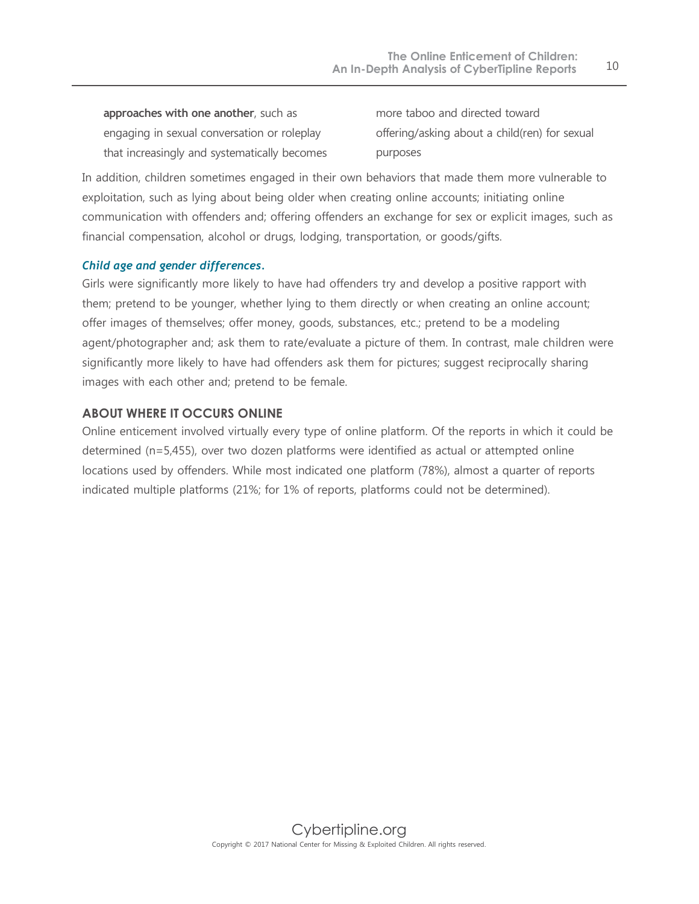**approaches with one another**, such as engaging in sexual conversation or roleplay that increasingly and systematically becomes more taboo and directed toward offering/asking about a child(ren) for sexual purposes

In addition, children sometimes engaged in their own behaviors that made them more vulnerable to exploitation, such as lying about being older when creating online accounts; initiating online communication with offenders and; offering offenders an exchange for sex or explicit images, such as financial compensation, alcohol or drugs, lodging, transportation, or goods/gifts.

#### *Child age and gender differences.*

Girls were significantly more likely to have had offenders try and develop a positive rapport with them; pretend to be younger, whether lying to them directly or when creating an online account; offer images of themselves; offer money, goods, substances, etc.; pretend to be a modeling agent/photographer and; ask them to rate/evaluate a picture of them. In contrast, male children were significantly more likely to have had offenders ask them for pictures; suggest reciprocally sharing images with each other and; pretend to be female.

#### **ABOUT WHERE IT OCCURS ONLINE**

Online enticement involved virtually every type of online platform. Of the reports in which it could be determined (n=5,455), over two dozen platforms were identified as actual or attempted online locations used by offenders. While most indicated one platform (78%), almost a quarter of reports indicated multiple platforms (21%; for 1% of reports, platforms could not be determined).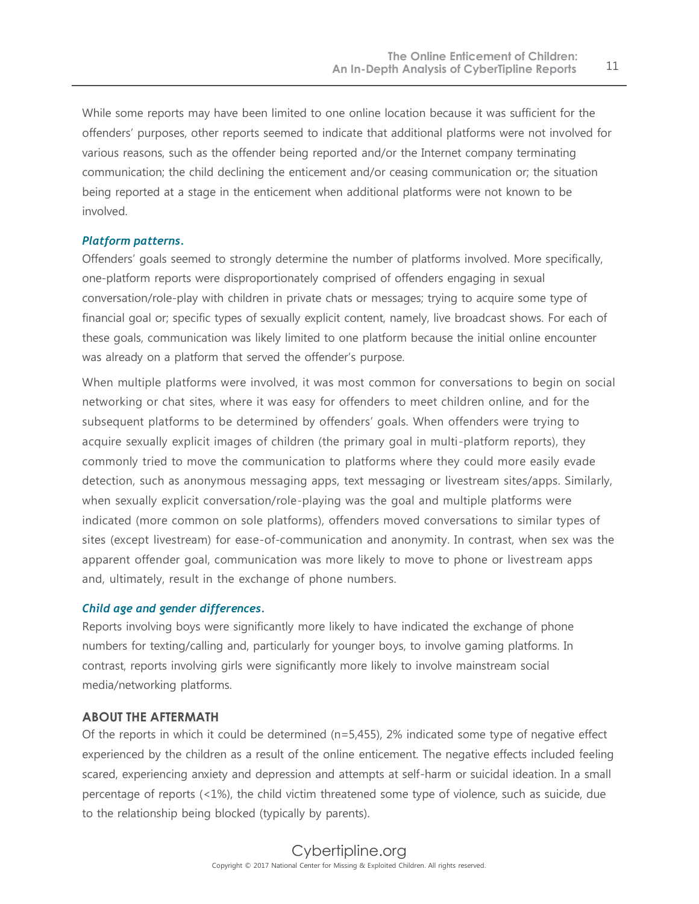While some reports may have been limited to one online location because it was sufficient for the offenders' purposes, other reports seemed to indicate that additional platforms were not involved for various reasons, such as the offender being reported and/or the Internet company terminating communication; the child declining the enticement and/or ceasing communication or; the situation being reported at a stage in the enticement when additional platforms were not known to be involved.

#### *Platform patterns.*

Offenders' goals seemed to strongly determine the number of platforms involved. More specifically, one-platform reports were disproportionately comprised of offenders engaging in sexual conversation/role-play with children in private chats or messages; trying to acquire some type of financial goal or; specific types of sexually explicit content, namely, live broadcast shows. For each of these goals, communication was likely limited to one platform because the initial online encounter was already on a platform that served the offender's purpose.

When multiple platforms were involved, it was most common for conversations to begin on social networking or chat sites, where it was easy for offenders to meet children online, and for the subsequent platforms to be determined by offenders' goals. When offenders were trying to acquire sexually explicit images of children (the primary goal in multi-platform reports), they commonly tried to move the communication to platforms where they could more easily evade detection, such as anonymous messaging apps, text messaging or livestream sites/apps. Similarly, when sexually explicit conversation/role-playing was the goal and multiple platforms were indicated (more common on sole platforms), offenders moved conversations to similar types of sites (except livestream) for ease-of-communication and anonymity. In contrast, when sex was the apparent offender goal, communication was more likely to move to phone or livestream apps and, ultimately, result in the exchange of phone numbers.

#### *Child age and gender differences.*

Reports involving boys were significantly more likely to have indicated the exchange of phone numbers for texting/calling and, particularly for younger boys, to involve gaming platforms. In contrast, reports involving girls were significantly more likely to involve mainstream social media/networking platforms.

#### **ABOUT THE AFTERMATH**

Of the reports in which it could be determined (n=5,455), 2% indicated some type of negative effect experienced by the children as a result of the online enticement. The negative effects included feeling scared, experiencing anxiety and depression and attempts at self-harm or suicidal ideation. In a small percentage of reports (<1%), the child victim threatened some type of violence, such as suicide, due to the relationship being blocked (typically by parents).